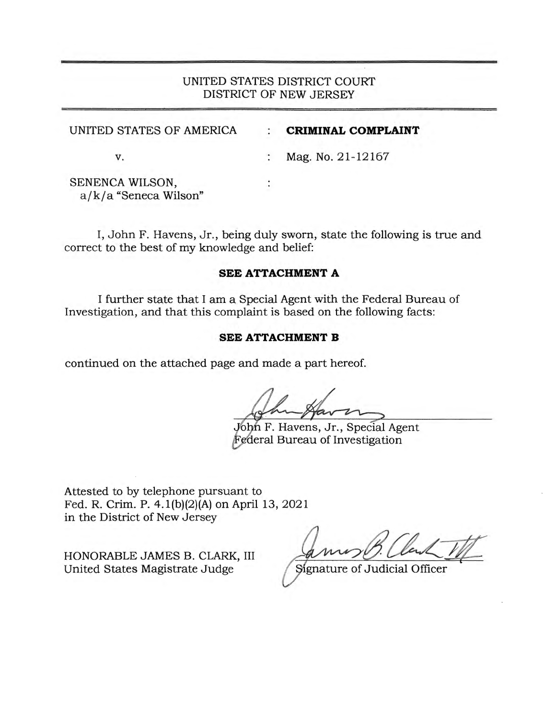# UNITED STATES DISTRICT COURT DISTRICT OF NEW JERSEY

| UNITED STATES OF AMERICA                   | CRIMINAL COMPLAINT |  |
|--------------------------------------------|--------------------|--|
| v.                                         | Mag. No. 21-12167  |  |
| SENENCA WILSON,<br>$a/k/a$ "Seneca Wilson" |                    |  |

I, John F. Havens, Jr., being duly sworn, state the following is true and correct to the best of my knowledge and belief:

## **SEE ATTACHMENT A**

I further state that I am a Special Agent with the Federal Bureau of Investigation, and that this complaint is based on the following facts:

# **SEE ATTACHMENT B**

continued on the attached page and made a part hereof.

John F. Havens, Jr., Special Agent Federal Bureau of Investigation

Attested to by telephone pursuant to Fed. R. Crim. P. 4.l(b)(2)(A) on April 13, 2021 in the District of New Jersey

HONORABLE JAMES B. CLARK, III United States Magistrate Judge

Signature of Judicial Officer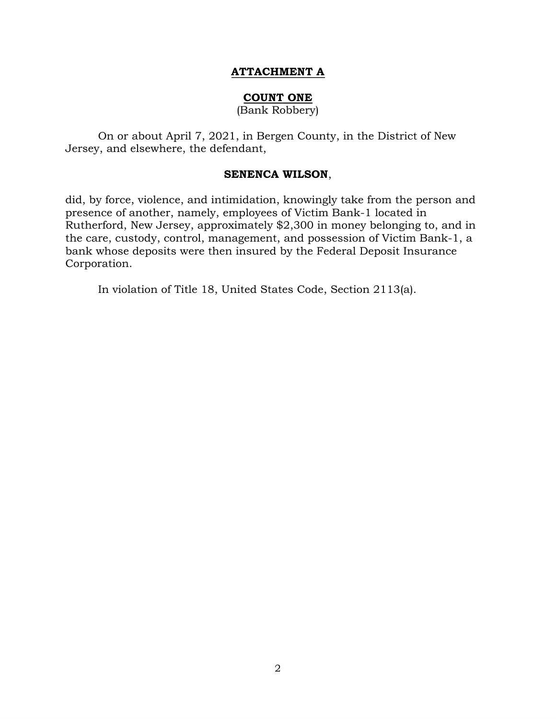## **ATTACHMENT A**

### **COUNT ONE**

(Bank Robbery)

 On or about April 7, 2021, in Bergen County, in the District of New Jersey, and elsewhere, the defendant,

### **SENENCA WILSON**,

did, by force, violence, and intimidation, knowingly take from the person and presence of another, namely, employees of Victim Bank-1 located in Rutherford, New Jersey, approximately \$2,300 in money belonging to, and in the care, custody, control, management, and possession of Victim Bank-1, a bank whose deposits were then insured by the Federal Deposit Insurance Corporation.

In violation of Title 18, United States Code, Section 2113(a).